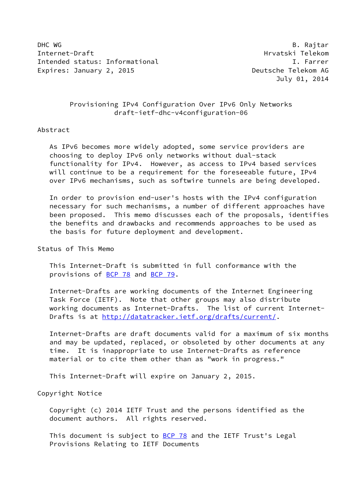DHC WG B. Rajtar Internet-Draft Hrvatski Telekom Intended status: Informational I. Farrer Expires: January 2, 2015 **Deutsche Telekom AG** 

July 01, 2014

## Provisioning IPv4 Configuration Over IPv6 Only Networks draft-ietf-dhc-v4configuration-06

### Abstract

 As IPv6 becomes more widely adopted, some service providers are choosing to deploy IPv6 only networks without dual-stack functionality for IPv4. However, as access to IPv4 based services will continue to be a requirement for the foreseeable future, IPv4 over IPv6 mechanisms, such as softwire tunnels are being developed.

 In order to provision end-user's hosts with the IPv4 configuration necessary for such mechanisms, a number of different approaches have been proposed. This memo discusses each of the proposals, identifies the benefits and drawbacks and recommends approaches to be used as the basis for future deployment and development.

# Status of This Memo

 This Internet-Draft is submitted in full conformance with the provisions of [BCP 78](https://datatracker.ietf.org/doc/pdf/bcp78) and [BCP 79](https://datatracker.ietf.org/doc/pdf/bcp79).

 Internet-Drafts are working documents of the Internet Engineering Task Force (IETF). Note that other groups may also distribute working documents as Internet-Drafts. The list of current Internet- Drafts is at<http://datatracker.ietf.org/drafts/current/>.

 Internet-Drafts are draft documents valid for a maximum of six months and may be updated, replaced, or obsoleted by other documents at any time. It is inappropriate to use Internet-Drafts as reference material or to cite them other than as "work in progress."

This Internet-Draft will expire on January 2, 2015.

#### Copyright Notice

 Copyright (c) 2014 IETF Trust and the persons identified as the document authors. All rights reserved.

This document is subject to **[BCP 78](https://datatracker.ietf.org/doc/pdf/bcp78)** and the IETF Trust's Legal Provisions Relating to IETF Documents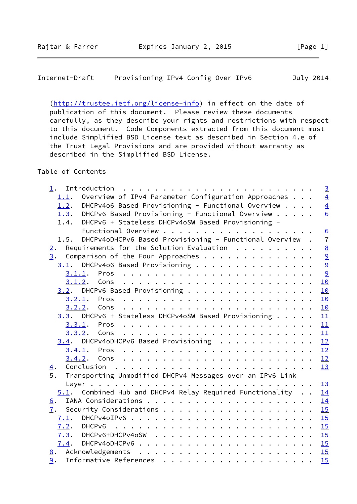[\(http://trustee.ietf.org/license-info](http://trustee.ietf.org/license-info)) in effect on the date of publication of this document. Please review these documents carefully, as they describe your rights and restrictions with respect to this document. Code Components extracted from this document must include Simplified BSD License text as described in Section 4.e of the Trust Legal Provisions and are provided without warranty as described in the Simplified BSD License.

## Table of Contents

| $1$ .                                                           | $\overline{3}$  |
|-----------------------------------------------------------------|-----------------|
| Overview of IPv4 Parameter Configuration Approaches<br>1.1.     | $\overline{4}$  |
| DHCPv4o6 Based Provisioning - Functional Overview<br>1.2.       | $\overline{4}$  |
| 1.3. DHCPv6 Based Provisioning - Functional Overview            | 6               |
| DHCPv6 + Stateless DHCPv4oSW Based Provisioning -<br>1.4.       |                 |
|                                                                 | $\underline{6}$ |
| 1.5. DHCPv4oDHCPv6 Based Provisioning - Functional Overview.    | $\overline{7}$  |
| Requirements for the Solution Evaluation $\cdots$<br>2.         | $\underline{8}$ |
| 3.<br>Comparison of the Four Approaches                         | $\overline{9}$  |
| $3.1$ . DHCPv4o6 Based Provisioning                             |                 |
|                                                                 | $\frac{9}{9}$   |
|                                                                 | 10              |
| 3.2. DHCPv6 Based Provisioning                                  | 10              |
|                                                                 | 10              |
|                                                                 | 10              |
| 3.3. DHCPv6 + Stateless DHCPv4oSW Based Provisioning            | 11              |
|                                                                 | 11              |
|                                                                 | 11              |
| $3.4$ . DHCPv4oDHCPv6 Based Provisioning                        | 12              |
|                                                                 |                 |
|                                                                 | 12              |
| $\overline{4}$ .                                                | 13              |
| Transporting Unmodified DHCPv4 Messages over an IPv6 Link<br>5. |                 |
|                                                                 | 13              |
| $5.1$ . Combined Hub and DHCPv4 Relay Required Functionality    | 14              |
| 6.                                                              | 14              |
| 7.                                                              | 15              |
| 7.1.                                                            | 15              |
| 7.2.                                                            | 15              |
|                                                                 | 15              |
|                                                                 |                 |
|                                                                 |                 |
| 9.                                                              | 15              |
|                                                                 |                 |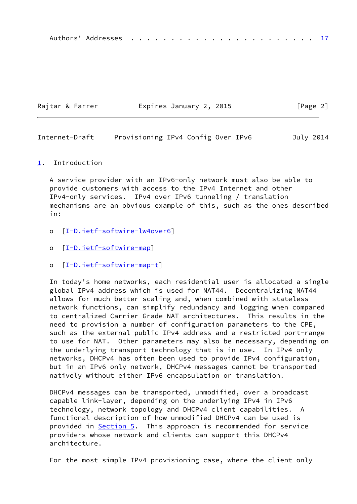|--|--|--|--|--|--|--|--|--|--|--|--|--|--|--|--|--|--|--|--|--|--|--|--|--|--|

| Rajtar & Farrer | Expires January 2, 2015 | [Page 2] |
|-----------------|-------------------------|----------|
|                 |                         |          |

<span id="page-2-1"></span>Internet-Draft Provisioning IPv4 Config Over IPv6 July 2014

#### <span id="page-2-0"></span>[1](#page-2-0). Introduction

 A service provider with an IPv6-only network must also be able to provide customers with access to the IPv4 Internet and other IPv4-only services. IPv4 over IPv6 tunneling / translation mechanisms are an obvious example of this, such as the ones described in:

- o [[I-D.ietf-softwire-lw4over6\]](#page-17-0)
- o [[I-D.ietf-softwire-map\]](#page-17-1)
- o [[I-D.ietf-softwire-map-t\]](#page-17-2)

 In today's home networks, each residential user is allocated a single global IPv4 address which is used for NAT44. Decentralizing NAT44 allows for much better scaling and, when combined with stateless network functions, can simplify redundancy and logging when compared to centralized Carrier Grade NAT architectures. This results in the need to provision a number of configuration parameters to the CPE, such as the external public IPv4 address and a restricted port-range to use for NAT. Other parameters may also be necessary, depending on the underlying transport technology that is in use. In IPv4 only networks, DHCPv4 has often been used to provide IPv4 configuration, but in an IPv6 only network, DHCPv4 messages cannot be transported natively without either IPv6 encapsulation or translation.

 DHCPv4 messages can be transported, unmodified, over a broadcast capable link-layer, depending on the underlying IPv4 in IPv6 technology, network topology and DHCPv4 client capabilities. A functional description of how unmodified DHCPv4 can be used is provided in [Section 5.](#page-14-2) This approach is recommended for service providers whose network and clients can support this DHCPv4 architecture.

For the most simple IPv4 provisioning case, where the client only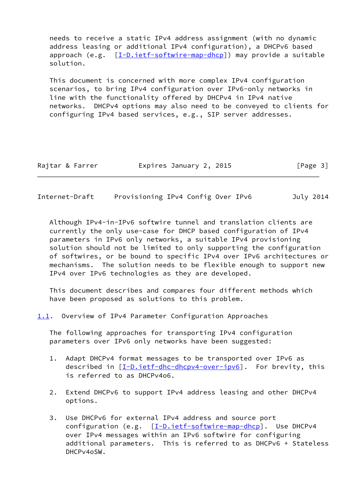needs to receive a static IPv4 address assignment (with no dynamic address leasing or additional IPv4 configuration), a DHCPv6 based approach (e.g. [\[I-D.ietf-softwire-map-dhcp\]](#page-17-3)) may provide a suitable solution.

 This document is concerned with more complex IPv4 configuration scenarios, to bring IPv4 configuration over IPv6-only networks in line with the functionality offered by DHCPv4 in IPv4 native networks. DHCPv4 options may also need to be conveyed to clients for configuring IPv4 based services, e.g., SIP server addresses.

| Expires January 2, 2015<br>Rajtar & Farrer | [Page 3] |
|--------------------------------------------|----------|
|--------------------------------------------|----------|

<span id="page-3-1"></span>Internet-Draft Provisioning IPv4 Config Over IPv6 July 2014

 Although IPv4-in-IPv6 softwire tunnel and translation clients are currently the only use-case for DHCP based configuration of IPv4 parameters in IPv6 only networks, a suitable IPv4 provisioning solution should not be limited to only supporting the configuration of softwires, or be bound to specific IPv4 over IPv6 architectures or mechanisms. The solution needs to be flexible enough to support new IPv4 over IPv6 technologies as they are developed.

 This document describes and compares four different methods which have been proposed as solutions to this problem.

<span id="page-3-0"></span>[1.1](#page-3-0). Overview of IPv4 Parameter Configuration Approaches

 The following approaches for transporting IPv4 configuration parameters over IPv6 only networks have been suggested:

- 1. Adapt DHCPv4 format messages to be transported over IPv6 as described in [\[I-D.ietf-dhc-dhcpv4-over-ipv6\]](#page-5-2). For brevity, this is referred to as DHCPv4o6.
- 2. Extend DHCPv6 to support IPv4 address leasing and other DHCPv4 options.
- 3. Use DHCPv6 for external IPv4 address and source port configuration (e.g.  $[\underline{I-D.iett-software-map-dhcp}]$ . Use DHCPv4 over IPv4 messages within an IPv6 softwire for configuring additional parameters. This is referred to as DHCPv6 + Stateless DHCPv4oSW.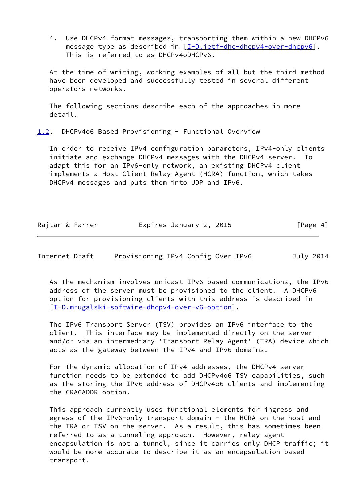4. Use DHCPv4 format messages, transporting them within a new DHCPv6 message type as described in [\[I-D.ietf-dhc-dhcpv4-over-dhcpv6](#page-7-1)]. This is referred to as DHCPv4oDHCPv6.

 At the time of writing, working examples of all but the third method have been developed and successfully tested in several different operators networks.

 The following sections describe each of the approaches in more detail.

<span id="page-4-0"></span>[1.2](#page-4-0). DHCPv4o6 Based Provisioning - Functional Overview

 In order to receive IPv4 configuration parameters, IPv4-only clients initiate and exchange DHCPv4 messages with the DHCPv4 server. To adapt this for an IPv6-only network, an existing DHCPv4 client implements a Host Client Relay Agent (HCRA) function, which takes DHCPv4 messages and puts them into UDP and IPv6.

| Rajtar & Farrer | Expires January 2, 2015 | [Page 4] |
|-----------------|-------------------------|----------|
|-----------------|-------------------------|----------|

Internet-Draft Provisioning IPv4 Config Over IPv6 July 2014

 As the mechanism involves unicast IPv6 based communications, the IPv6 address of the server must be provisioned to the client. A DHCPv6 option for provisioning clients with this address is described in [\[I-D.mrugalski-softwire-dhcpv4-over-v6-option](#page-17-4)].

 The IPv6 Transport Server (TSV) provides an IPv6 interface to the client. This interface may be implemented directly on the server and/or via an intermediary 'Transport Relay Agent' (TRA) device which acts as the gateway between the IPv4 and IPv6 domains.

 For the dynamic allocation of IPv4 addresses, the DHCPv4 server function needs to be extended to add DHCPv4o6 TSV capabilities, such as the storing the IPv6 address of DHCPv4o6 clients and implementing the CRA6ADDR option.

 This approach currently uses functional elements for ingress and egress of the IPv6-only transport domain - the HCRA on the host and the TRA or TSV on the server. As a result, this has sometimes been referred to as a tunneling approach. However, relay agent encapsulation is not a tunnel, since it carries only DHCP traffic; it would be more accurate to describe it as an encapsulation based transport.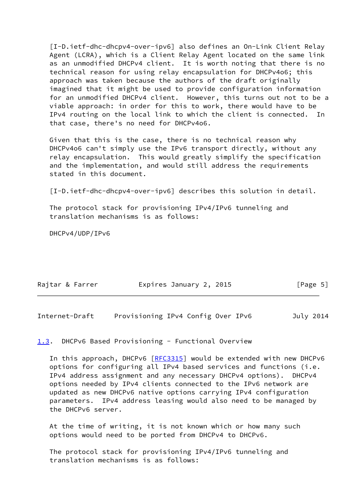<span id="page-5-2"></span> [I-D.ietf-dhc-dhcpv4-over-ipv6] also defines an On-Link Client Relay Agent (LCRA), which is a Client Relay Agent located on the same link as an unmodified DHCPv4 client. It is worth noting that there is no technical reason for using relay encapsulation for DHCPv4o6; this approach was taken because the authors of the draft originally imagined that it might be used to provide configuration information for an unmodified DHCPv4 client. However, this turns out not to be a viable approach: in order for this to work, there would have to be IPv4 routing on the local link to which the client is connected. In that case, there's no need for DHCPv4o6.

 Given that this is the case, there is no technical reason why DHCPv4o6 can't simply use the IPv6 transport directly, without any relay encapsulation. This would greatly simplify the specification and the implementation, and would still address the requirements stated in this document.

[I-D.ietf-dhc-dhcpv4-over-ipv6] describes this solution in detail.

 The protocol stack for provisioning IPv4/IPv6 tunneling and translation mechanisms is as follows:

DHCPv4/UDP/IPv6

| Rajtar & Farrer | Expires January 2, 2015 | [Page 5] |
|-----------------|-------------------------|----------|
|                 |                         |          |

<span id="page-5-1"></span>Internet-Draft Provisioning IPv4 Config Over IPv6 July 2014

#### <span id="page-5-0"></span>[1.3](#page-5-0). DHCPv6 Based Provisioning - Functional Overview

In this approach, DHCPv6 [\[RFC3315](https://datatracker.ietf.org/doc/pdf/rfc3315)] would be extended with new DHCPv6 options for configuring all IPv4 based services and functions (i.e. IPv4 address assignment and any necessary DHCPv4 options). DHCPv4 options needed by IPv4 clients connected to the IPv6 network are updated as new DHCPv6 native options carrying IPv4 configuration parameters. IPv4 address leasing would also need to be managed by the DHCPv6 server.

 At the time of writing, it is not known which or how many such options would need to be ported from DHCPv4 to DHCPv6.

 The protocol stack for provisioning IPv4/IPv6 tunneling and translation mechanisms is as follows: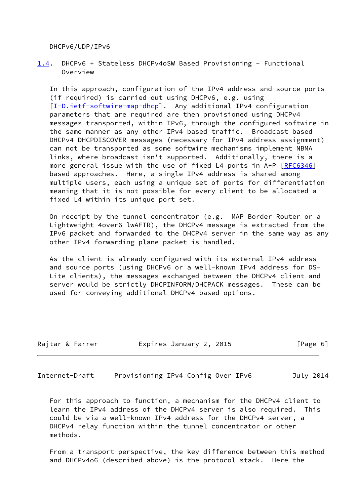DHCPv6/UDP/IPv6

<span id="page-6-0"></span>[1.4](#page-6-0). DHCPv6 + Stateless DHCPv4oSW Based Provisioning - Functional Overview

 In this approach, configuration of the IPv4 address and source ports (if required) is carried out using DHCPv6, e.g. using [\[I-D.ietf-softwire-map-dhcp\]](#page-17-3). Any additional IPv4 configuration parameters that are required are then provisioned using DHCPv4 messages transported, within IPv6, through the configured softwire in the same manner as any other IPv4 based traffic. Broadcast based DHCPv4 DHCPDISCOVER messages (necessary for IPv4 address assignment) can not be transported as some softwire mechanisms implement NBMA links, where broadcast isn't supported. Additionally, there is a more general issue with the use of fixed L4 ports in A+P [\[RFC6346](https://datatracker.ietf.org/doc/pdf/rfc6346)] based approaches. Here, a single IPv4 address is shared among multiple users, each using a unique set of ports for differentiation meaning that it is not possible for every client to be allocated a fixed L4 within its unique port set.

 On receipt by the tunnel concentrator (e.g. MAP Border Router or a Lightweight 4over6 lwAFTR), the DHCPv4 message is extracted from the IPv6 packet and forwarded to the DHCPv4 server in the same way as any other IPv4 forwarding plane packet is handled.

 As the client is already configured with its external IPv4 address and source ports (using DHCPv6 or a well-known IPv4 address for DS- Lite clients), the messages exchanged between the DHCPv4 client and server would be strictly DHCPINFORM/DHCPACK messages. These can be used for conveying additional DHCPv4 based options.

| Rajtar & Farrer | Expires January 2, 2015 | [Page 6] |
|-----------------|-------------------------|----------|
|                 |                         |          |

Internet-Draft Provisioning IPv4 Config Over IPv6 July 2014

 For this approach to function, a mechanism for the DHCPv4 client to learn the IPv4 address of the DHCPv4 server is also required. This could be via a well-known IPv4 address for the DHCPv4 server, a DHCPv4 relay function within the tunnel concentrator or other methods.

 From a transport perspective, the key difference between this method and DHCPv4o6 (described above) is the protocol stack. Here the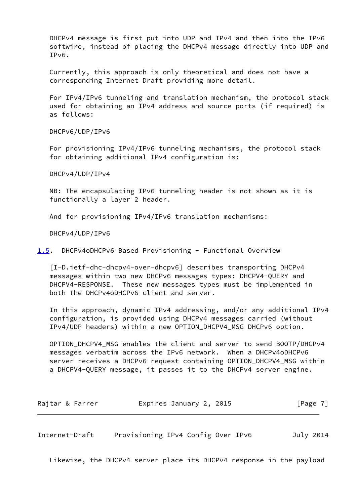DHCPv4 message is first put into UDP and IPv4 and then into the IPv6 softwire, instead of placing the DHCPv4 message directly into UDP and IPv6.

 Currently, this approach is only theoretical and does not have a corresponding Internet Draft providing more detail.

 For IPv4/IPv6 tunneling and translation mechanism, the protocol stack used for obtaining an IPv4 address and source ports (if required) is as follows:

DHCPv6/UDP/IPv6

 For provisioning IPv4/IPv6 tunneling mechanisms, the protocol stack for obtaining additional IPv4 configuration is:

DHCPv4/UDP/IPv4

 NB: The encapsulating IPv6 tunneling header is not shown as it is functionally a layer 2 header.

And for provisioning IPv4/IPv6 translation mechanisms:

DHCPv4/UDP/IPv6

<span id="page-7-2"></span>[1.5](#page-7-2). DHCPv4oDHCPv6 Based Provisioning - Functional Overview

<span id="page-7-1"></span> [I-D.ietf-dhc-dhcpv4-over-dhcpv6] describes transporting DHCPv4 messages within two new DHCPv6 messages types: DHCPV4-QUERY and DHCPV4-RESPONSE. These new messages types must be implemented in both the DHCPv4oDHCPv6 client and server.

 In this approach, dynamic IPv4 addressing, and/or any additional IPv4 configuration, is provided using DHCPv4 messages carried (without IPv4/UDP headers) within a new OPTION\_DHCPV4\_MSG DHCPv6 option.

 OPTION\_DHCPV4\_MSG enables the client and server to send BOOTP/DHCPv4 messages verbatim across the IPv6 network. When a DHCPv4oDHCPv6 server receives a DHCPv6 request containing OPTION\_DHCPV4\_MSG within a DHCPV4-QUERY message, it passes it to the DHCPv4 server engine.

| Rajtar & Farrer | Expires January 2, 2015 | [Page 7] |
|-----------------|-------------------------|----------|
|-----------------|-------------------------|----------|

<span id="page-7-0"></span>Internet-Draft Provisioning IPv4 Config Over IPv6 July 2014

Likewise, the DHCPv4 server place its DHCPv4 response in the payload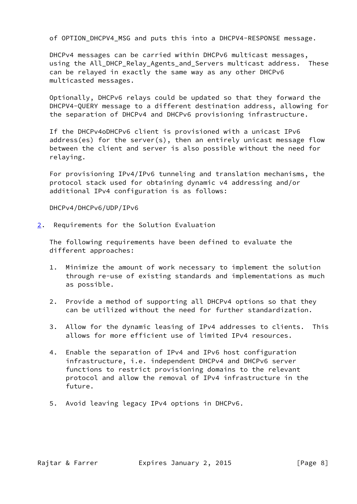of OPTION\_DHCPV4\_MSG and puts this into a DHCPV4-RESPONSE message.

 DHCPv4 messages can be carried within DHCPv6 multicast messages, using the All\_DHCP\_Relay\_Agents\_and\_Servers multicast address. These can be relayed in exactly the same way as any other DHCPv6 multicasted messages.

 Optionally, DHCPv6 relays could be updated so that they forward the DHCPV4-QUERY message to a different destination address, allowing for the separation of DHCPv4 and DHCPv6 provisioning infrastructure.

 If the DHCPv4oDHCPv6 client is provisioned with a unicast IPv6 address(es) for the server(s), then an entirely unicast message flow between the client and server is also possible without the need for relaying.

 For provisioning IPv4/IPv6 tunneling and translation mechanisms, the protocol stack used for obtaining dynamic v4 addressing and/or additional IPv4 configuration is as follows:

DHCPv4/DHCPv6/UDP/IPv6

<span id="page-8-0"></span>[2](#page-8-0). Requirements for the Solution Evaluation

 The following requirements have been defined to evaluate the different approaches:

- 1. Minimize the amount of work necessary to implement the solution through re-use of existing standards and implementations as much as possible.
- 2. Provide a method of supporting all DHCPv4 options so that they can be utilized without the need for further standardization.
- 3. Allow for the dynamic leasing of IPv4 addresses to clients. This allows for more efficient use of limited IPv4 resources.
- 4. Enable the separation of IPv4 and IPv6 host configuration infrastructure, i.e. independent DHCPv4 and DHCPv6 server functions to restrict provisioning domains to the relevant protocol and allow the removal of IPv4 infrastructure in the future.
- 5. Avoid leaving legacy IPv4 options in DHCPv6.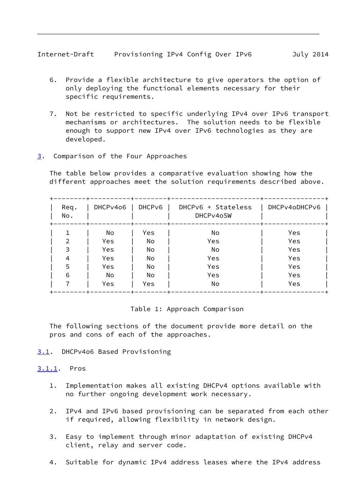- <span id="page-9-1"></span> 6. Provide a flexible architecture to give operators the option of only deploying the functional elements necessary for their specific requirements.
- 7. Not be restricted to specific underlying IPv4 over IPv6 transport mechanisms or architectures. The solution needs to be flexible enough to support new IPv4 over IPv6 technologies as they are developed.
- <span id="page-9-0"></span>[3](#page-9-0). Comparison of the Four Approaches

 The table below provides a comparative evaluation showing how the different approaches meet the solution requirements described above.

| Req.<br>No. | DHCPv4o6 | DHCP <sub>V6</sub> | DHCPv6 + Stateless<br>DHCPv4oSW | DHCPv4oDHCPv6 |
|-------------|----------|--------------------|---------------------------------|---------------|
|             | No       | Yes                | No                              | Yes           |
|             | Yes      | No                 | Yes                             | Yes           |
| 3           | Yes      | No                 | No                              | Yes           |
| 4           | Yes      | No                 | Yes                             | Yes           |
| 5           | Yes      | No                 | Yes                             | Yes           |
| 6           | No       | No                 | Yes                             | Yes           |
|             | Yes      | Yes                | No                              | Yes           |

## Table 1: Approach Comparison

 The following sections of the document provide more detail on the pros and cons of each of the approaches.

- <span id="page-9-2"></span>[3.1](#page-9-2). DHCPv4o6 Based Provisioning
- <span id="page-9-3"></span>[3.1.1](#page-9-3). Pros
	- 1. Implementation makes all existing DHCPv4 options available with no further ongoing development work necessary.
	- 2. IPv4 and IPv6 based provisioning can be separated from each other if required, allowing flexibility in network design.
	- 3. Easy to implement through minor adaptation of existing DHCPv4 client, relay and server code.
	- 4. Suitable for dynamic IPv4 address leases where the IPv4 address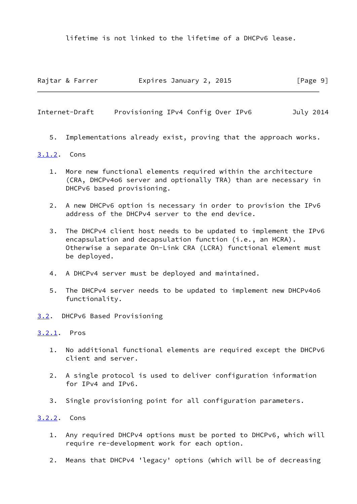lifetime is not linked to the lifetime of a DHCPv6 lease.

| Rajtar & Farrer | Expires January 2, 2015 | [Page 9] |
|-----------------|-------------------------|----------|
|                 |                         |          |

<span id="page-10-1"></span>Internet-Draft Provisioning IPv4 Config Over IPv6 July 2014

5. Implementations already exist, proving that the approach works.

## <span id="page-10-0"></span>[3.1.2](#page-10-0). Cons

- 1. More new functional elements required within the architecture (CRA, DHCPv4o6 server and optionally TRA) than are necessary in DHCPv6 based provisioning.
- 2. A new DHCPv6 option is necessary in order to provision the IPv6 address of the DHCPv4 server to the end device.
- 3. The DHCPv4 client host needs to be updated to implement the IPv6 encapsulation and decapsulation function (i.e., an HCRA). Otherwise a separate On-Link CRA (LCRA) functional element must be deployed.
- 4. A DHCPv4 server must be deployed and maintained.
- 5. The DHCPv4 server needs to be updated to implement new DHCPv4o6 functionality.
- <span id="page-10-2"></span>[3.2](#page-10-2). DHCPv6 Based Provisioning

## <span id="page-10-3"></span>[3.2.1](#page-10-3). Pros

- 1. No additional functional elements are required except the DHCPv6 client and server.
- 2. A single protocol is used to deliver configuration information for IPv4 and IPv6.
- 3. Single provisioning point for all configuration parameters.

# <span id="page-10-4"></span>[3.2.2](#page-10-4). Cons

- 1. Any required DHCPv4 options must be ported to DHCPv6, which will require re-development work for each option.
- 2. Means that DHCPv4 'legacy' options (which will be of decreasing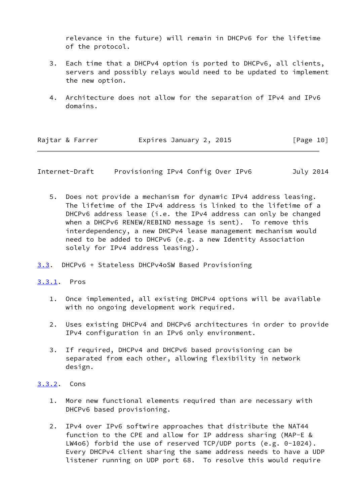relevance in the future) will remain in DHCPv6 for the lifetime of the protocol.

- 3. Each time that a DHCPv4 option is ported to DHCPv6, all clients, servers and possibly relays would need to be updated to implement the new option.
- 4. Architecture does not allow for the separation of IPv4 and IPv6 domains.

| Rajtar & Farrer | Expires January 2, 2015 | [Page 10] |
|-----------------|-------------------------|-----------|
|                 |                         |           |

<span id="page-11-1"></span>Internet-Draft Provisioning IPv4 Config Over IPv6 July 2014

- 5. Does not provide a mechanism for dynamic IPv4 address leasing. The lifetime of the IPv4 address is linked to the lifetime of a DHCPv6 address lease (i.e. the IPv4 address can only be changed when a DHCPv6 RENEW/REBIND message is sent). To remove this interdependency, a new DHCPv4 lease management mechanism would need to be added to DHCPv6 (e.g. a new Identity Association solely for IPv4 address leasing).
- <span id="page-11-0"></span>[3.3](#page-11-0). DHCPv6 + Stateless DHCPv4oSW Based Provisioning
- <span id="page-11-2"></span>[3.3.1](#page-11-2). Pros
	- 1. Once implemented, all existing DHCPv4 options will be available with no ongoing development work required.
	- 2. Uses existing DHCPv4 and DHCPv6 architectures in order to provide IPv4 configuration in an IPv6 only environment.
	- 3. If required, DHCPv4 and DHCPv6 based provisioning can be separated from each other, allowing flexibility in network design.
- <span id="page-11-3"></span>[3.3.2](#page-11-3). Cons
	- 1. More new functional elements required than are necessary with DHCPv6 based provisioning.
	- 2. IPv4 over IPv6 softwire approaches that distribute the NAT44 function to the CPE and allow for IP address sharing (MAP-E & LW4o6) forbid the use of reserved TCP/UDP ports (e.g. 0-1024). Every DHCPv4 client sharing the same address needs to have a UDP listener running on UDP port 68. To resolve this would require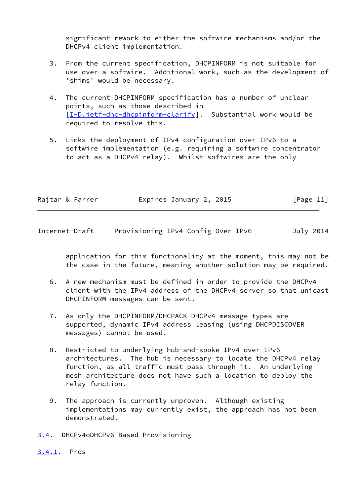significant rework to either the softwire mechanisms and/or the DHCPv4 client implementation.

- 3. From the current specification, DHCPINFORM is not suitable for use over a softwire. Additional work, such as the development of 'shims' would be necessary.
- 4. The current DHCPINFORM specification has a number of unclear points, such as those described in [\[I-D.ietf-dhc-dhcpinform-clarify](#page-16-6)]. Substantial work would be required to resolve this.
- 5. Links the deployment of IPv4 configuration over IPv6 to a softwire implementation (e.g. requiring a softwire concentrator to act as a DHCPv4 relay). Whilst softwires are the only

| Rajtar & Farrer | Expires January 2, 2015 | [Page 11] |
|-----------------|-------------------------|-----------|
|-----------------|-------------------------|-----------|

<span id="page-12-1"></span>Internet-Draft Provisioning IPv4 Config Over IPv6 July 2014

 application for this functionality at the moment, this may not be the case in the future, meaning another solution may be required.

- 6. A new mechanism must be defined in order to provide the DHCPv4 client with the IPv4 address of the DHCPv4 server so that unicast DHCPINFORM messages can be sent.
- 7. As only the DHCPINFORM/DHCPACK DHCPv4 message types are supported, dynamic IPv4 address leasing (using DHCPDISCOVER messages) cannot be used.
- 8. Restricted to underlying hub-and-spoke IPv4 over IPv6 architectures. The hub is necessary to locate the DHCPv4 relay function, as all traffic must pass through it. An underlying mesh architecture does not have such a location to deploy the relay function.
- 9. The approach is currently unproven. Although existing implementations may currently exist, the approach has not been demonstrated.
- <span id="page-12-0"></span>[3.4](#page-12-0). DHCPv4oDHCPv6 Based Provisioning
- <span id="page-12-2"></span>[3.4.1](#page-12-2). Pros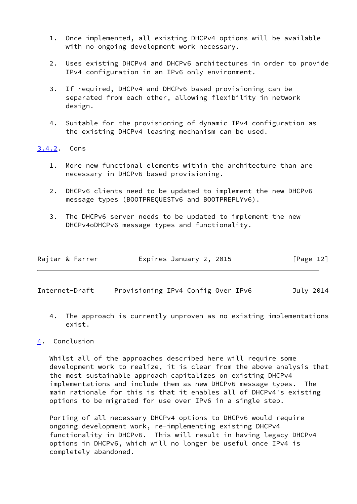- 1. Once implemented, all existing DHCPv4 options will be available with no ongoing development work necessary.
- 2. Uses existing DHCPv4 and DHCPv6 architectures in order to provide IPv4 configuration in an IPv6 only environment.
- 3. If required, DHCPv4 and DHCPv6 based provisioning can be separated from each other, allowing flexibility in network design.
- 4. Suitable for the provisioning of dynamic IPv4 configuration as the existing DHCPv4 leasing mechanism can be used.

## <span id="page-13-0"></span>[3.4.2](#page-13-0). Cons

- 1. More new functional elements within the architecture than are necessary in DHCPv6 based provisioning.
- 2. DHCPv6 clients need to be updated to implement the new DHCPv6 message types (BOOTPREQUESTv6 and BOOTPREPLYv6).
- 3. The DHCPv6 server needs to be updated to implement the new DHCPv4oDHCPv6 message types and functionality.

| [Page 12]<br>Expires January 2, 2015<br>Rajtar & Farrer |  |
|---------------------------------------------------------|--|
|---------------------------------------------------------|--|

<span id="page-13-2"></span>Internet-Draft Provisioning IPv4 Config Over IPv6 July 2014

 4. The approach is currently unproven as no existing implementations exist.

# <span id="page-13-1"></span>[4](#page-13-1). Conclusion

 Whilst all of the approaches described here will require some development work to realize, it is clear from the above analysis that the most sustainable approach capitalizes on existing DHCPv4 implementations and include them as new DHCPv6 message types. The main rationale for this is that it enables all of DHCPv4's existing options to be migrated for use over IPv6 in a single step.

 Porting of all necessary DHCPv4 options to DHCPv6 would require ongoing development work, re-implementing existing DHCPv4 functionality in DHCPv6. This will result in having legacy DHCPv4 options in DHCPv6, which will no longer be useful once IPv4 is completely abandoned.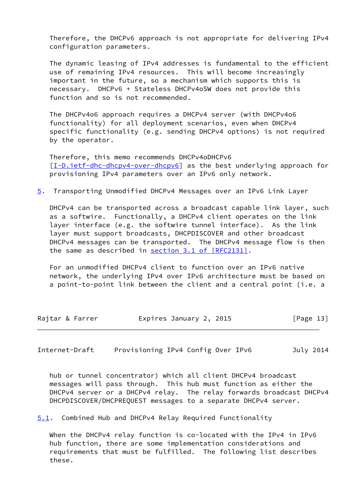Therefore, the DHCPv6 approach is not appropriate for delivering IPv4 configuration parameters.

 The dynamic leasing of IPv4 addresses is fundamental to the efficient use of remaining IPv4 resources. This will become increasingly important in the future, so a mechanism which supports this is necessary. DHCPv6 + Stateless DHCPv4oSW does not provide this function and so is not recommended.

 The DHCPv4o6 approach requires a DHCPv4 server (with DHCPv4o6 functionality) for all deployment scenarios, even when DHCPv4 specific functionality (e.g. sending DHCPv4 options) is not required by the operator.

 Therefore, this memo recommends DHCPv4oDHCPv6 [\[I-D.ietf-dhc-dhcpv4-over-dhcpv6](#page-7-1)] as the best underlying approach for provisioning IPv4 parameters over an IPv6 only network.

<span id="page-14-2"></span>[5](#page-14-2). Transporting Unmodified DHCPv4 Messages over an IPv6 Link Layer

 DHCPv4 can be transported across a broadcast capable link layer, such as a softwire. Functionally, a DHCPv4 client operates on the link layer interface (e.g. the softwire tunnel interface). As the link layer must support broadcasts, DHCPDISCOVER and other broadcast DHCPv4 messages can be transported. The DHCPv4 message flow is then the same as described in section [3.1 of \[RFC2131\]](https://datatracker.ietf.org/doc/pdf/rfc2131#section-3.1).

 For an unmodified DHCPv4 client to function over an IPv6 native network, the underlying IPv4 over IPv6 architecture must be based on a point-to-point link between the client and a central point (i.e. a

| Rajtar & Farrer | Expires January 2, 2015 | [Page 13] |
|-----------------|-------------------------|-----------|
|-----------------|-------------------------|-----------|

<span id="page-14-1"></span>Internet-Draft Provisioning IPv4 Config Over IPv6 July 2014

 hub or tunnel concentrator) which all client DHCPv4 broadcast messages will pass through. This hub must function as either the DHCPv4 server or a DHCPv4 relay. The relay forwards broadcast DHCPv4 DHCPDISCOVER/DHCPREQUEST messages to a separate DHCPv4 server.

<span id="page-14-0"></span>[5.1](#page-14-0). Combined Hub and DHCPv4 Relay Required Functionality

 When the DHCPv4 relay function is co-located with the IPv4 in IPv6 hub function, there are some implementation considerations and requirements that must be fulfilled. The following list describes these.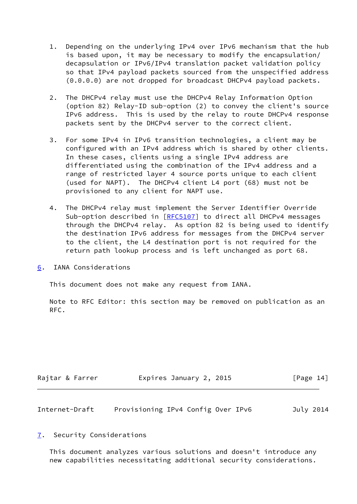- 1. Depending on the underlying IPv4 over IPv6 mechanism that the hub is based upon, it may be necessary to modify the encapsulation/ decapsulation or IPv6/IPv4 translation packet validation policy so that IPv4 payload packets sourced from the unspecified address (0.0.0.0) are not dropped for broadcast DHCPv4 payload packets.
- 2. The DHCPv4 relay must use the DHCPv4 Relay Information Option (option 82) Relay-ID sub-option (2) to convey the client's source IPv6 address. This is used by the relay to route DHCPv4 response packets sent by the DHCPv4 server to the correct client.
- 3. For some IPv4 in IPv6 transition technologies, a client may be configured with an IPv4 address which is shared by other clients. In these cases, clients using a single IPv4 address are differentiated using the combination of the IPv4 address and a range of restricted layer 4 source ports unique to each client (used for NAPT). The DHCPv4 client L4 port (68) must not be provisioned to any client for NAPT use.
- 4. The DHCPv4 relay must implement the Server Identifier Override Sub-option described in [\[RFC5107](https://datatracker.ietf.org/doc/pdf/rfc5107)] to direct all DHCPv4 messages through the DHCPv4 relay. As option 82 is being used to identify the destination IPv6 address for messages from the DHCPv4 server to the client, the L4 destination port is not required for the return path lookup process and is left unchanged as port 68.
- <span id="page-15-0"></span>[6](#page-15-0). IANA Considerations

This document does not make any request from IANA.

 Note to RFC Editor: this section may be removed on publication as an RFC.

| Rajtar & Farrer | Expires January 2, 2015 | [Page 14] |
|-----------------|-------------------------|-----------|
|-----------------|-------------------------|-----------|

<span id="page-15-2"></span>

| Internet-Draft | Provisioning IPv4 Config Over IPv6 |  |  | July 2014 |
|----------------|------------------------------------|--|--|-----------|
|                |                                    |  |  |           |

<span id="page-15-1"></span>[7](#page-15-1). Security Considerations

 This document analyzes various solutions and doesn't introduce any new capabilities necessitating additional security considerations.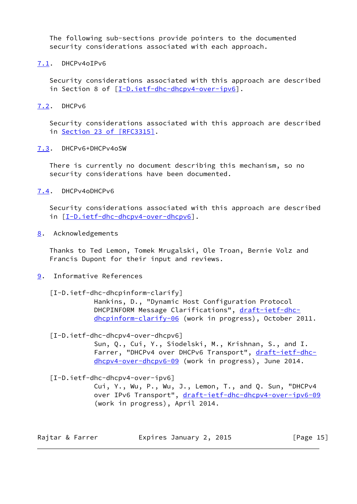The following sub-sections provide pointers to the documented security considerations associated with each approach.

<span id="page-16-0"></span>[7.1](#page-16-0). DHCPv4oIPv6

 Security considerations associated with this approach are described in Section 8 of [\[I-D.ietf-dhc-dhcpv4-over-ipv6](#page-5-2)].

<span id="page-16-1"></span>[7.2](#page-16-1). DHCPv6

 Security considerations associated with this approach are described in Section [23 of \[RFC3315\]](https://datatracker.ietf.org/doc/pdf/rfc3315#section-23).

<span id="page-16-2"></span>[7.3](#page-16-2). DHCPv6+DHCPv4oSW

 There is currently no document describing this mechanism, so no security considerations have been documented.

<span id="page-16-3"></span>[7.4](#page-16-3). DHCPv4oDHCPv6

 Security considerations associated with this approach are described in [[I-D.ietf-dhc-dhcpv4-over-dhcpv6\]](#page-7-1).

<span id="page-16-4"></span>[8](#page-16-4). Acknowledgements

 Thanks to Ted Lemon, Tomek Mrugalski, Ole Troan, Bernie Volz and Francis Dupont for their input and reviews.

- <span id="page-16-6"></span><span id="page-16-5"></span>[9](#page-16-5). Informative References
	- [I-D.ietf-dhc-dhcpinform-clarify]

 Hankins, D., "Dynamic Host Configuration Protocol DHCPINFORM Message Clarifications", [draft-ietf-dhc](https://datatracker.ietf.org/doc/pdf/draft-ietf-dhc-dhcpinform-clarify-06) [dhcpinform-clarify-06](https://datatracker.ietf.org/doc/pdf/draft-ietf-dhc-dhcpinform-clarify-06) (work in progress), October 2011.

[I-D.ietf-dhc-dhcpv4-over-dhcpv6]

 Sun, Q., Cui, Y., Siodelski, M., Krishnan, S., and I. Farrer, "DHCPv4 over DHCPv6 Transport", [draft-ietf-dhc](https://datatracker.ietf.org/doc/pdf/draft-ietf-dhc-dhcpv4-over-dhcpv6-09) [dhcpv4-over-dhcpv6-09](https://datatracker.ietf.org/doc/pdf/draft-ietf-dhc-dhcpv4-over-dhcpv6-09) (work in progress), June 2014.

[I-D.ietf-dhc-dhcpv4-over-ipv6]

 Cui, Y., Wu, P., Wu, J., Lemon, T., and Q. Sun, "DHCPv4 over IPv6 Transport", [draft-ietf-dhc-dhcpv4-over-ipv6-09](https://datatracker.ietf.org/doc/pdf/draft-ietf-dhc-dhcpv4-over-ipv6-09) (work in progress), April 2014.

Rajtar & Farrer **Expires January 2, 2015** [Page 15]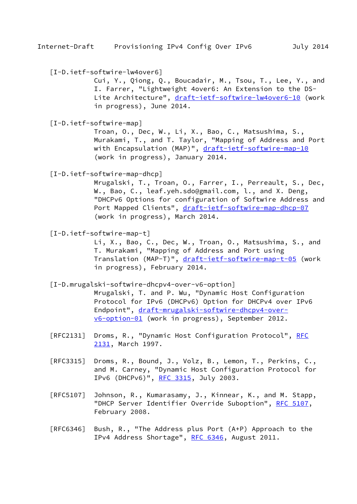<span id="page-17-0"></span>[I-D.ietf-softwire-lw4over6]

 Cui, Y., Qiong, Q., Boucadair, M., Tsou, T., Lee, Y., and I. Farrer, "Lightweight 4over6: An Extension to the DS Lite Architecture", [draft-ietf-softwire-lw4over6-10](https://datatracker.ietf.org/doc/pdf/draft-ietf-softwire-lw4over6-10) (work in progress), June 2014.

<span id="page-17-1"></span>[I-D.ietf-softwire-map]

 Troan, O., Dec, W., Li, X., Bao, C., Matsushima, S., Murakami, T., and T. Taylor, "Mapping of Address and Port with Encapsulation (MAP)", [draft-ietf-softwire-map-10](https://datatracker.ietf.org/doc/pdf/draft-ietf-softwire-map-10) (work in progress), January 2014.

<span id="page-17-3"></span>[I-D.ietf-softwire-map-dhcp]

 Mrugalski, T., Troan, O., Farrer, I., Perreault, S., Dec, W., Bao, C., leaf.yeh.sdo@gmail.com, l., and X. Deng, "DHCPv6 Options for configuration of Softwire Address and Port Mapped Clients", [draft-ietf-softwire-map-dhcp-07](https://datatracker.ietf.org/doc/pdf/draft-ietf-softwire-map-dhcp-07) (work in progress), March 2014.

<span id="page-17-2"></span>[I-D.ietf-softwire-map-t]

 Li, X., Bao, C., Dec, W., Troan, O., Matsushima, S., and T. Murakami, "Mapping of Address and Port using Translation (MAP-T)", [draft-ietf-softwire-map-t-05](https://datatracker.ietf.org/doc/pdf/draft-ietf-softwire-map-t-05) (work in progress), February 2014.

<span id="page-17-4"></span>[I-D.mrugalski-softwire-dhcpv4-over-v6-option]

 Mrugalski, T. and P. Wu, "Dynamic Host Configuration Protocol for IPv6 (DHCPv6) Option for DHCPv4 over IPv6 Endpoint", [draft-mrugalski-softwire-dhcpv4-over](https://datatracker.ietf.org/doc/pdf/draft-mrugalski-softwire-dhcpv4-over-v6-option-01) [v6-option-01](https://datatracker.ietf.org/doc/pdf/draft-mrugalski-softwire-dhcpv4-over-v6-option-01) (work in progress), September 2012.

- [RFC2131] Droms, R., "Dynamic Host Configuration Protocol", [RFC](https://datatracker.ietf.org/doc/pdf/rfc2131) [2131,](https://datatracker.ietf.org/doc/pdf/rfc2131) March 1997.
- [RFC3315] Droms, R., Bound, J., Volz, B., Lemon, T., Perkins, C., and M. Carney, "Dynamic Host Configuration Protocol for IPv6 (DHCPv6)", [RFC 3315,](https://datatracker.ietf.org/doc/pdf/rfc3315) July 2003.
- [RFC5107] Johnson, R., Kumarasamy, J., Kinnear, K., and M. Stapp, "DHCP Server Identifier Override Suboption", [RFC 5107](https://datatracker.ietf.org/doc/pdf/rfc5107), February 2008.
- [RFC6346] Bush, R., "The Address plus Port (A+P) Approach to the IPv4 Address Shortage", [RFC 6346,](https://datatracker.ietf.org/doc/pdf/rfc6346) August 2011.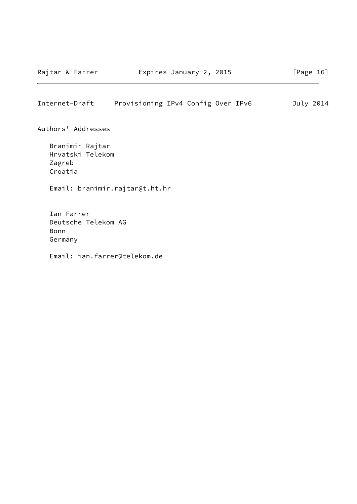# <span id="page-18-0"></span>Internet-Draft Provisioning IPv4 Config Over IPv6 July 2014

Authors' Addresses

 Branimir Rajtar Hrvatski Telekom Zagreb Croatia

Email: branimir.rajtar@t.ht.hr

 Ian Farrer Deutsche Telekom AG Bonn Germany

Email: ian.farrer@telekom.de